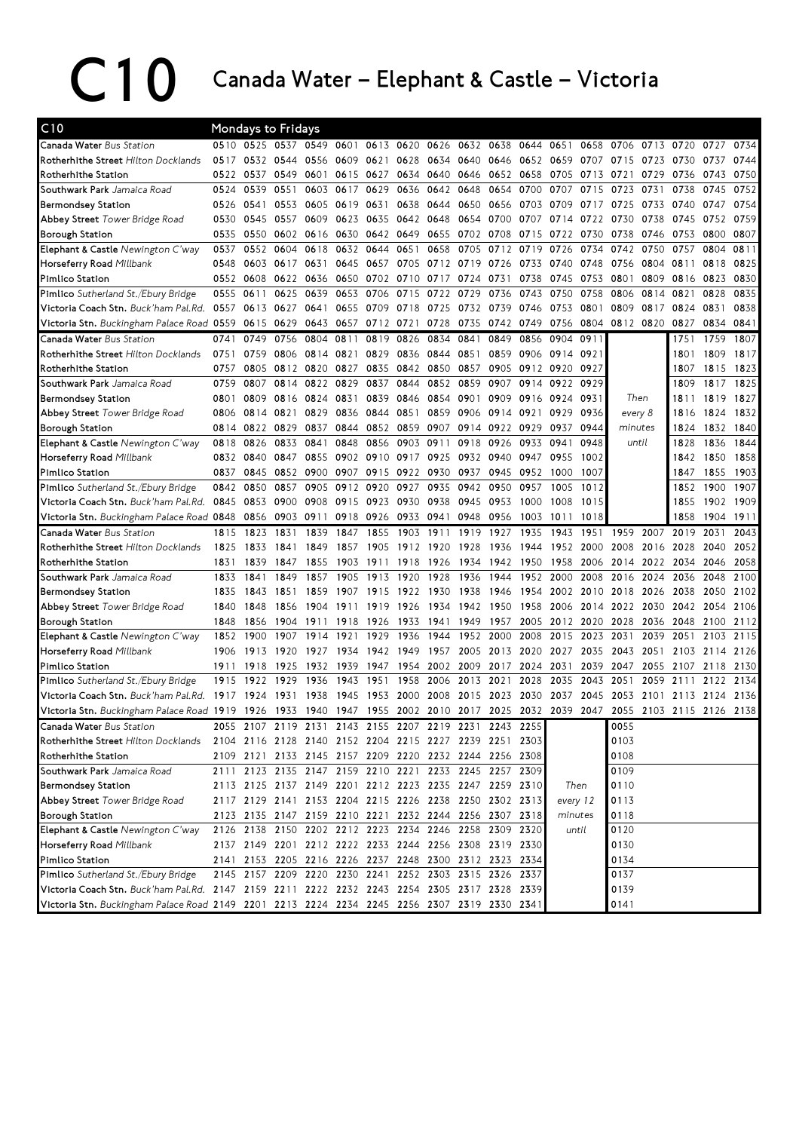## C10 Canada Water – Elephant & Castle – Victoria

| C10                                                                                                                                                                                        |      | <b>Mondays to Fridays</b> |                |                                                        |      |                |      |                |      |      |           |                     |                     |              |           |                |      |      |
|--------------------------------------------------------------------------------------------------------------------------------------------------------------------------------------------|------|---------------------------|----------------|--------------------------------------------------------|------|----------------|------|----------------|------|------|-----------|---------------------|---------------------|--------------|-----------|----------------|------|------|
| Canada Water Bus Station                                                                                                                                                                   |      | 0510 0525                 | 0537           | 0549                                                   | 0601 | 0613 0620      |      | 0626           | 0632 | 0638 | 0644      | 0651                | 0658                | 0706         | 0713      | 0720           | 0727 | 0734 |
| Rotherhithe Street Hilton Docklands                                                                                                                                                        | 0517 | 0532                      | 0544           | 0556                                                   |      | 0609 0621      | 0628 | 0634 0640      |      | 0646 |           |                     | 0652 0659 0707 0715 |              | 0723 0730 |                | 0737 | 0744 |
| Rotherhithe Station                                                                                                                                                                        | 0522 | 0537                      | 0549           | 0601                                                   |      | 0615 0627      | 0634 | 0640 0646      |      |      |           | 0652 0658 0705 0713 |                     | 0721         | 0729      | 0736           | 0743 | 0750 |
| Southwark Park Jamaica Road                                                                                                                                                                | 0524 | 0539                      | 0551           | 0603                                                   | 0617 | 0629           | 0636 | 0642           | 0648 | 0654 | 0700      | 0707                | 0715                | 0723         | 0731      | 0738           | 0745 | 0752 |
| <b>Bermondsey Station</b>                                                                                                                                                                  | 0526 | 0541                      | 0553           | 0605                                                   | 0619 | 0631           | 0638 | 0644           | 0650 | 0656 | 0703      | 0709                | 0717                | 0725         | 0733      | 0740           | 0747 | 0754 |
| Abbey Street Tower Bridge Road                                                                                                                                                             | 0530 | 0545                      | 0557           | 0609                                                   |      | 0623 0635      | 0642 | 0648 0654      |      | 0700 | 0707      | 0714                | 0722                | 0730         | 0738      | 0745           | 0752 | 0759 |
| <b>Borough Station</b>                                                                                                                                                                     | 0535 | 0550                      | 0602           | 0616                                                   | 0630 | 0642 0649      |      | 0655           | 0702 | 0708 | 0715      | 0722                | 0730                | 0738         | 0746      | 0753           | 0800 | 0807 |
| Elephant & Castle Newington C'way                                                                                                                                                          | 0537 | 0552                      | 0604           | 0618                                                   | 0632 | 0644           | 0651 | 0658           | 0705 | 0712 | 0719      | 0726                | 0734                | 0742         | 0750      | 0757           | 0804 | 0811 |
| Horseferry Road Millbank                                                                                                                                                                   | 0548 |                           | 0603 0617 0631 |                                                        |      | 0645 0657      | 0705 | 0712 0719 0726 |      |      | 0733 0740 |                     | 0748                | 0756         | 0804 0811 |                | 0818 | 0825 |
| Pimlico Station                                                                                                                                                                            |      | 0552 0608                 | 0622           | 0636                                                   |      | 0650 0702 0710 |      | 0717 0724 0731 |      |      | 0738      | 0745                | 0753                | 0801         | 0809 0816 |                | 0823 | 0830 |
| Pimlico Sutherland St./Ebury Bridge                                                                                                                                                        | 0555 | 0611                      | 0625           | 0639                                                   | 0653 | 0706           | 0715 | 0722           | 0729 | 0736 | 0743      | 0750                | 0758                | 0806         | 0814      | 0821           | 0828 | 0835 |
| Victoria Coach Stn. Buck'ham Pal.Rd.                                                                                                                                                       | 0557 | 0613                      | 0627           | 0641                                                   | 0655 | 0709           | 0718 | 0725           | 0732 | 0739 | 0746      | 0753                | 0801                | 0809         | 0817      | 0824           | 0831 | 0838 |
| Victoria Stn. Buckingham Palace Road 0559                                                                                                                                                  |      | 0615                      | 0629           | 0643                                                   | 0657 | 0712           | 0721 | 0728           | 0735 | 0742 | 0749      | 0756                | 0804                | 0812 0820    |           | 0827           | 0834 | 0841 |
| Canada Water Bus Station                                                                                                                                                                   | 0741 | 0749                      | 0756           | 0804                                                   | 0811 | 0819           | 0826 | 0834           | 0841 | 0849 | 0856      | 0904                | 0911                |              |           | 1751           | 1759 | 1807 |
| Rotherhithe Street Hilton Docklands                                                                                                                                                        | 0751 | 0759                      |                | 0806 0814                                              | 0821 | 0829           | 0836 | 0844 0851      |      | 0859 | 0906      | 0914                | 0921                |              |           | 1801           | 1809 | 1817 |
| Rotherhithe Station                                                                                                                                                                        | 0757 | 0805                      | 0812 0820      |                                                        | 0827 | 0835           | 0842 | 0850 0857      |      | 0905 |           | 0912 0920 0927      |                     |              |           | 1807           | 1815 | 1823 |
| Southwark Park Jamaica Road                                                                                                                                                                | 0759 | 0807                      | 0814           | 0822                                                   | 0829 | 0837           | 0844 | 0852 0859      |      | 0907 | 0914      | 0922                | 0929                |              |           | 1809           | 1817 | 1825 |
| Bermondsey Station                                                                                                                                                                         | 0801 | 0809                      | 0816           | 0824                                                   | 0831 | 0839           | 0846 | 0854 0901      |      | 0909 | 0916      | 0924                | 0931                | Then         |           | 1811           | 1819 | 1827 |
| <b>Abbey Street</b> Tower Bridge Road                                                                                                                                                      | 0806 | 0814                      | 0821           | 0829                                                   | 0836 | 0844           | 0851 | 0859           | 0906 | 0914 | 0921      | 0929                | 0936                | every 8      |           | 1816           | 1824 | 1832 |
| <b>Borough Station</b>                                                                                                                                                                     | 0814 | 0822                      | 0829           | 0837                                                   |      | 0844 0852      | 0859 | 0907           | 0914 | 0922 | 0929      | 0937                | 0944                | minutes      |           | 1824           | 1832 | 1840 |
| Elephant & Castle Newington C'way                                                                                                                                                          | 0818 | 0826                      | 0833           | 0841                                                   | 0848 | 0856           | 0903 | 0911           | 0918 | 0926 | 0933      | 0941                | 0948                |              | until     | 1828           | 1836 | 1844 |
| Horseferry Road Millbank                                                                                                                                                                   | 0832 | 0840                      | 0847           | 0855                                                   |      | 0902 0910      | 0917 | 0925           | 0932 | 0940 | 0947      | 0955                | 1002                |              |           | 1842           | 1850 | 1858 |
| <b>Pimlico Station</b>                                                                                                                                                                     | 0837 | 0845                      | 0852           | 0900                                                   |      | 0907 0915 0922 |      | 0930           | 0937 | 0945 | 0952 1000 |                     | 1007                |              |           | 1847           | 1855 | 1903 |
| Pimlico Sutherland St./Ebury Bridge                                                                                                                                                        | 0842 | 0850                      | 0857           | 0905                                                   | 0912 | 0920           | 0927 | 0935           | 0942 | 0950 | 0957      | 1005                | 1012                |              |           | 1852           | 1900 | 1907 |
| Victoria Coach Stn. Buck'ham Pal.Rd.                                                                                                                                                       | 0845 | 0853                      | 0900           | 0908                                                   | 0915 | 0923           | 0930 | 0938           | 0945 | 0953 | 1000      | 1008                | 1015                |              |           | 1855           | 1902 | 1909 |
| Victoria Stn. Buckingham Palace Road 0848                                                                                                                                                  |      |                           |                |                                                        |      | 0918 0926      | 0933 | 0941           | 0948 | 0956 | 1003      | 1011                | 1018                |              |           | 1858           | 1904 | 1911 |
|                                                                                                                                                                                            |      |                           |                |                                                        |      |                |      |                |      |      |           |                     |                     |              |           |                |      |      |
|                                                                                                                                                                                            |      | 0856                      | 0903 0911      |                                                        |      |                |      |                |      |      |           |                     |                     |              |           |                |      |      |
| Canada Water Bus Station                                                                                                                                                                   | 1815 | 1823                      | 1831           | 1839                                                   | 1847 | 1855           | 1903 | 1911           | 1919 | 1927 | 1935      | 1943                | 1951                | 1959         | 2007      | 2019           | 2031 | 2043 |
| <b>Rotherhithe Street Hilton Docklands</b>                                                                                                                                                 | 1825 | 1833                      | 1841           | 1849                                                   | 1857 | 1905           | 1912 | 1920           | 1928 | 1936 | 1944      | 1952                | 2000                | 2008         | 2016      | 2028           | 2040 | 2052 |
| Rotherhithe Station                                                                                                                                                                        | 1831 | 1839                      | 1847           | 1855                                                   | 1903 | 1911           | 1918 | 1926           | 1934 | 1942 | 1950      | 1958                | 2006                | 2014         | 2022      | 2034           | 2046 | 2058 |
| Southwark Park Jamaica Road                                                                                                                                                                | 1833 | 1841                      | 1849           | 1857                                                   | 1905 | 1913           | 1920 | 1928           | 1936 | 1944 | 1952      | 2000                | 2008                | 2016         | 2024      | 2036           | 2048 | 2100 |
| Bermondsey Station                                                                                                                                                                         | 1835 | 1843                      | 1851           | 1859                                                   | 1907 | 1915           | 1922 | 1930           | 1938 | 1946 | 1954      | 2002                | 2010                | 2018         | 2026      | 2038           | 2050 | 2102 |
| Abbey Street Tower Bridge Road                                                                                                                                                             | 1840 | 1848                      | 1856           | 1904                                                   | 1911 | 1919           | 1926 | 1934 1942      |      | 1950 | 1958      | 2006                | 2014                | 2022         | 2030      | 2042           | 2054 | 2106 |
| <b>Borough Station</b>                                                                                                                                                                     | 1848 | 1856                      | 1904           | 1911                                                   | 1918 | 1926           | 1933 | 1941           | 1949 | 1957 | 2005      | 2012                | 2020                | 2028         | 2036      | 2048           | 2100 | 2112 |
| Elephant & Castle Newington C'way                                                                                                                                                          | 1852 | 1900                      | 1907           | 1914                                                   | 1921 | 1929           | 1936 | 1944           | 1952 | 2000 | 2008      | 2015                | 2023                | 2031         | 2039      | 2051           | 2103 | 2115 |
| Horseferry Road Millbank                                                                                                                                                                   | 1906 | 1913                      | 1920           | 1927                                                   | 1934 | 1942           | 1949 | 1957           | 2005 | 2013 | 2020      | 2027                | 2035                | 2043         | 2051      | 2103           | 2114 | 2126 |
| Pimlico Station                                                                                                                                                                            | 1911 | 1918                      | 1925           | 1932                                                   | 1939 | 1947           | 1954 | 2002 2009      |      | 2017 | 2024      | 2031                | 2039                | 2047         | 2055 2107 |                | 2118 | 2130 |
| Pimlico Sutherland St./Ebury Bridge                                                                                                                                                        | 1915 | 1922                      | 1929           | 1936                                                   | 1943 | 1951           | 1958 | 2006           | 2013 | 2021 | 2028      | 2035                | 2043                | 2051         | 2059      | 2111           | 2122 | 2134 |
| <b>Victoria Coach Stn.</b> Buck'ham Pal.Rd.                                                                                                                                                | 1917 | 1924                      | 1931           | 1938                                                   | 1945 | 1953           | 2000 | 2008           | 2015 | 2023 | 2030      | 2037                | 2045                | 2053         | 2101      | 2113           | 2124 | 2136 |
| Victoria Stn. Buckingham Palace Road 1919                                                                                                                                                  |      | 1926                      | 1933           | 1940                                                   | 1947 | 1955           | 2002 | 2010 2017      |      | 2025 |           | 2032 2039 2047      |                     | 2055         |           | 2103 2115 2126 |      | 2138 |
| Canada Water Bus Station                                                                                                                                                                   |      |                           |                | 2055 2107 2119 2131 2143 2155 2207 2219 2231 2243 2255 |      |                |      |                |      |      |           |                     |                     | 0055         |           |                |      |      |
| Rotherhithe Street Hilton Docklands                                                                                                                                                        |      |                           |                | 2104 2116 2128 2140 2152 2204 2215 2227 2239 2251 2303 |      |                |      |                |      |      |           |                     |                     | 0103         |           |                |      |      |
| Rotherhithe Station                                                                                                                                                                        |      |                           |                | 2109 2121 2133 2145 2157 2209 2220 2232 2244 2256 2308 |      |                |      |                |      |      |           |                     |                     | 0108         |           |                |      |      |
| Southwark Park Jamaica Road                                                                                                                                                                |      |                           |                | 2111 2123 2135 2147 2159 2210 2221 2233 2245 2257 2309 |      |                |      |                |      |      |           |                     |                     | 0109         |           |                |      |      |
| <b>Bermondsey Station</b>                                                                                                                                                                  |      |                           |                | 2113 2125 2137 2149 2201 2212 2223 2235 2247 2259 2310 |      |                |      |                |      |      |           | Then                |                     | 0110         |           |                |      |      |
| Abbey Street Tower Bridge Road                                                                                                                                                             |      |                           |                | 2117 2129 2141 2153 2204 2215 2226 2238 2250 2302 2313 |      |                |      |                |      |      |           | every 12            |                     | 0113         |           |                |      |      |
|                                                                                                                                                                                            |      |                           |                | 2123 2135 2147 2159 2210 2221 2232 2244 2256 2307 2318 |      |                |      |                |      |      |           | minutes             |                     | 0118         |           |                |      |      |
| Elephant & Castle Newington C'way                                                                                                                                                          |      |                           |                | 2126 2138 2150 2202 2212 2223 2234 2246 2258 2309 2320 |      |                |      |                |      |      |           |                     | until               | 0120         |           |                |      |      |
| <b>Borough Station</b><br>Horseferry Road Millbank                                                                                                                                         |      |                           |                | 2137 2149 2201 2212 2222 2233 2244 2256 2308 2319 2330 |      |                |      |                |      |      |           |                     |                     | 0130         |           |                |      |      |
| Pimlico Station                                                                                                                                                                            |      |                           |                | 2141 2153 2205 2216 2226 2237 2248 2300 2312 2323 2334 |      |                |      |                |      |      |           |                     |                     | 0134         |           |                |      |      |
| Pimlico Sutherland St./Ebury Bridge                                                                                                                                                        |      |                           |                | 2145 2157 2209 2220 2230 2241 2252 2303 2315 2326 2337 |      |                |      |                |      |      |           |                     |                     | 0137         |           |                |      |      |
| Victoria Coach Stn. Buck'ham Pal.Rd. 2147 2159 2211 2222 2232 2243 2254 2305 2317 2328 2339<br>Victoria Stn. Buckingham Palace Road 2149 2201 2213 2224 2234 2245 2256 2307 2319 2330 2341 |      |                           |                |                                                        |      |                |      |                |      |      |           |                     |                     | 0139<br>0141 |           |                |      |      |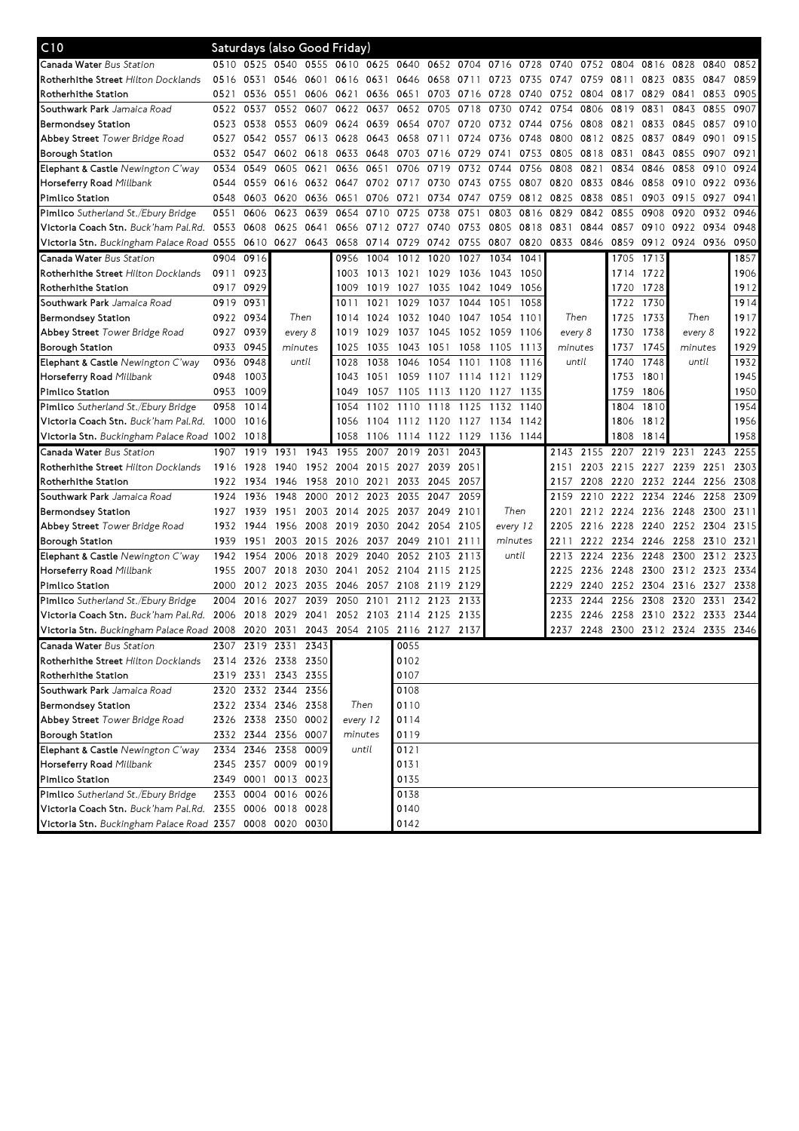| C10                                                                               |      |      | Saturdays (also Good Friday)  |           |         |                |                     |           |                |           |          |                          |           |                     |           |                                    |           |           |
|-----------------------------------------------------------------------------------|------|------|-------------------------------|-----------|---------|----------------|---------------------|-----------|----------------|-----------|----------|--------------------------|-----------|---------------------|-----------|------------------------------------|-----------|-----------|
| Canada Water Bus Station                                                          | 0510 |      | 0525 0540 0555 0610 0625 0640 |           |         |                |                     |           |                |           |          | 0652 0704 0716 0728 0740 | 0752 0804 |                     | 0816 0828 |                                    | 0840      | 0852      |
| <b>Rotherhithe Street</b> Hilton Docklands                                        | 0516 | 0531 | 0546 0601                     |           |         | 0616 0631      | 0646                |           | 0658 0711 0723 |           | 0735     | 0747                     | 0759      | 0811                | 0823      | 0835                               | 0847      | 0859      |
| Rotherhithe Station                                                               | 0521 |      | 0536 0551                     | 0606      | 0621    |                | 0636 0651           |           | 0703 0716 0728 |           | 0740     | 0752 0804                |           | 0817                | 0829      | 0841                               | 0853      | 0905      |
| Southwark Park Jamaica Road                                                       | 0522 | 0537 |                               | 0552 0607 | 0622    | 0637           | 0652                | 0705      | 0718           | 0730      | 0742     | 0754                     | 0806      | 0819                | 0831      | 0843                               | 0855      | 0907      |
| Bermondsey Station                                                                | 0523 | 0538 | 0553 0609                     |           | 0624    |                | 0639 0654           | 0707 0720 |                | 0732      | 0744     | 0756 0808                |           | 0821                |           | 0833 0845                          | 0857      | 0910      |
| Abbey Street Tower Bridge Road                                                    | 0527 |      | 0542 0557 0613                |           | 0628    | 0643 0658      |                     | 0711      | 0724           | 0736      | 0748     | 0800                     | 0812 0825 |                     | 0837      | 0849                               | 0901      | 0915      |
| Borough Station                                                                   | 0532 | 0547 | 0602 0618                     |           | 0633    | 0648           | 0703                | 0716 0729 |                | 0741      | 0753     | 0805                     | 0818      | 0831                | 0843      | 0855                               | 0907      | 0921      |
| Elephant & Castle Newington C'way                                                 | 0534 | 0549 | 0605                          | 0621      | 0636    | 0651           | 0706                | 0719      | 0732           | 0744      | 0756     | 0808                     | 0821      | 0834                | 0846      | 0858                               | 0910      | 0924      |
| Horseferry Road Millbank                                                          | 0544 | 0559 | 0616 0632                     |           | 0647    | 0702           | 0717                | 0730      | 0743           | 0755      | 0807     | 0820                     | 0833      | 0846                | 0858      | 0910                               | 0922      | 0936      |
| Pimlico Station                                                                   | 0548 | 0603 | 0620 0636                     |           | 0651    | 0706           | 0721                | 0734      | 0747           | 0759      | 0812     | 0825                     | 0838      | 0851                | 0903      | 0915                               | 0927      | 0941      |
| Pimlico Sutherland St./Ebury Bridge                                               | 0551 | 0606 | 0623                          | 0639      | 0654    | 0710           | 0725                | 0738      | 0751           | 0803      | 0816     | 0829                     | 0842      | 0855                | 0908      | 0920                               | 0932      | 0946      |
| Victoria Coach Stn. Buck'ham Pal.Rd. 0553                                         |      | 0608 | 0625 0641                     |           |         | 0656 0712 0727 |                     | 0740 0753 |                | 0805      | 0818     | 0831                     | 0844      | 0857                |           | 0910 0922                          | 0934      | 0948      |
| Victoria Stn. Buckingham Palace Road 0555 0610 0627 0643                          |      |      |                               |           |         | 0658 0714 0729 |                     | 0742 0755 |                | 0807      | 0820     | 0833 0846                |           | 0859                |           | 0912 0924 0936                     |           | 0950      |
| <b>Canada Water</b> Bus Station                                                   | 0904 | 0916 |                               |           | 0956    |                | 1004 1012 1020      |           | 1027           | 1034      | 1041     |                          |           | 1705                | 1713      |                                    |           | 1857      |
| <b>Rotherhithe Street</b> Hilton Docklands                                        | 0911 | 0923 |                               |           | 1003    | 1013           | 1021 1029 1036      |           |                | 1043      | 1050     |                          |           |                     | 1714 1722 |                                    |           | 1906      |
| Rotherhithe Station                                                               | 0917 | 0929 |                               |           | 1009    | 1019           | 1027                | 1035      | 1042 1049      |           | 1056     |                          |           | 1720                | 1728      |                                    |           | 1912      |
| Southwark Park Jamaica Road                                                       | 0919 | 0931 |                               |           | 1011    | 1021           | 1029                | 1037      | 1044           | 1051      | 1058     |                          |           | 1722                | 1730      |                                    |           | 1914      |
| <b>Bermondsey Station</b>                                                         | 0922 | 0934 | Then                          |           | 1014    | 1024           | 1032                | 1040      | 1047           | 1054      | 1101     |                          | Then      | 1725                | 1733      | Then                               |           | 1917      |
| Abbey Street Tower Bridge Road                                                    | 0927 | 0939 | every 8                       |           | 1019    | 1029           | 1037                | 1045      | 1052           | 1059      | 1106     | every 8                  |           | 1730                | 1738      | every 8                            |           | 1922      |
| Borough Station                                                                   | 0933 | 0945 | minutes                       |           | 1025    | 1035           | 1043                | 1051      | 1058           | 1105      | 1113     | minutes                  |           | 1737                | 1745      | minutes                            |           | 1929      |
| Elephant & Castle Newington C'way                                                 | 0936 | 0948 | until                         |           | 1028    | 1038           | 1046                | 1054      | 1101           | 1108      | 1116     |                          | until     | 1740                | 1748      | until                              |           | 1932      |
| Horseferry Road Millbank                                                          | 0948 | 1003 |                               |           | 1043    | 1051           | 1059                | 1107      | 1114           | 1121      | 1129     |                          |           | 1753                | 1801      |                                    |           | 1945      |
| Pimlico Station                                                                   | 0953 | 1009 |                               |           | 1049    | 1057           | 1105                | 1113      | 1120           | 1127      | 1135     |                          |           | 1759                | 1806      |                                    |           | 1950      |
| <b>Pimlico</b> Sutherland St./Ebury Bridge                                        | 0958 | 1014 |                               |           | 1054    |                | 1102 1110           | 1118 1125 |                | 1132      | 1140     |                          |           | 1804                | 1810      |                                    |           | 1954      |
| Victoria Coach Stn. Buck'ham Pal.Rd.                                              | 1000 | 1016 |                               |           | 1056    | 1104           | 1112                | 1120      | 1127           | 1134      | 1142     |                          |           | 1806                | 1812      |                                    |           | 1956      |
| Victoria Stn. Buckingham Palace Road 1002 1018                                    |      |      |                               |           | 1058    |                | 1106 1114 1122 1129 |           |                | 1136 1144 |          |                          |           | 1808                | 1814      |                                    |           | 1958      |
| <b>Canada Water</b> Bus Station                                                   | 1907 | 1919 | 1931                          | 1943      | 1955    | 2007           | 2019                | 2031      | 2043           |           |          |                          | 2143 2155 | 2207                | 2219 2231 |                                    | 2243 2255 |           |
| <b>Rotherhithe Street</b> Hilton Docklands                                        | 1916 | 1928 | 1940                          | 1952      | 2004    | 2015 2027      |                     | 2039      | 2051           |           |          | 2151                     |           |                     |           | 2203 2215 2227 2239 2251           |           | 2303      |
| Rotherhithe Station                                                               | 1922 | 1934 | 1946                          | 1958      | 2010    | 2021           | 2033                | 2045      | 2057           |           |          | 2157                     | 2208      | 2220                | 2232 2244 |                                    | 2256      | 2308      |
| <b>Southwark Park</b> Jamaica Road                                                | 1924 | 1936 | 1948                          | 2000      | 2012    | 2023           | 2035                | 2047      | 2059           |           |          | 2159                     | 2210      |                     | 2222 2234 | 2246                               | 2258      | 2309      |
| Bermondsey Station                                                                | 1927 | 1939 | 1951                          | 2003      | 2014    | 2025           | 2037                | 2049      | 2101           |           | Then     | 2201                     |           | 2212 2224 2236 2248 |           |                                    | 2300      | 2311      |
| Abbey Street Tower Bridge Road                                                    | 1932 | 1944 | 1956                          | 2008      | 2019    | 2030           | 2042                | 2054      | 2105           |           | every 12 | 2205                     | 2216      | 2228                | 2240      | 2252                               | 2304      | 2315      |
| Borough Station                                                                   | 1939 | 1951 |                               | 2003 2015 |         | 2026 2037      | 2049                | 2101      | 2111           |           | minutes  | 2211                     |           | 2222 2234 2246 2258 |           |                                    | 2310 2321 |           |
| Elephant & Castle Newington C'way                                                 | 1942 | 1954 | 2006 2018                     |           | 2029    | 2040           | 2052                | 2103 2113 |                |           | until    | 2213                     | 2224      | 2236                | 2248      | 2300                               |           | 2312 2323 |
| Horseferry Road Millbank                                                          | 1955 | 2007 | 2018 2030                     |           | 2041    |                | 2052 2104           | 2115      | 2125           |           |          | 2225                     | 2236      | 2248                |           | 2300 2312 2323                     |           | 2334      |
| Pimlico Station                                                                   | 2000 |      | 2012 2023 2035                |           |         | 2046 2057 2108 |                     | 2119      | 2129           |           |          | 2229                     | 2240      | 2252 2304 2316      |           |                                    | 2327      | 2338      |
| <b>Pimlico</b> Sutherland St./Ebury Bridge                                        | 2004 | 2016 | 2027                          | 2039      | 2050    | 2101           | 2112                | 2123      | 2133           |           |          | 2233                     | 2244      | 2256                | 2308 2320 |                                    | 2331      | 2342      |
| Victoria Coach Stn. Buck'ham Pal.Rd. 2006                                         |      | 2018 | 2029                          | 2041      |         | 2052 2103 2114 |                     | 2125      | 2135           |           |          | 2235                     | 2246      | 2258                | 2310 2322 |                                    | 2333      | 2344      |
| Victoria Stn. Buckingham Palace Road 2008 2020 2031 2043 2054 2105 2116 2127 2137 |      |      |                               |           |         |                |                     |           |                |           |          |                          |           |                     |           | 2237 2248 2300 2312 2324 2335 2346 |           |           |
| Canada Water Bus Station                                                          |      |      | 2307 2319 2331 2343           |           |         |                | 0055                |           |                |           |          |                          |           |                     |           |                                    |           |           |
| Rotherhithe Street Hilton Docklands                                               |      |      | 2314 2326 2338 2350           |           |         |                | 0102                |           |                |           |          |                          |           |                     |           |                                    |           |           |
| Rotherhithe Station                                                               |      |      | 2319 2331 2343 2355           |           |         |                | 0107                |           |                |           |          |                          |           |                     |           |                                    |           |           |
| Southwark Park Jamaica Road                                                       |      |      | 2320 2332 2344 2356           |           |         |                | 0108                |           |                |           |          |                          |           |                     |           |                                    |           |           |
| <b>Bermondsey Station</b>                                                         |      |      | 2322 2334 2346 2358           |           |         | Then           | 0110                |           |                |           |          |                          |           |                     |           |                                    |           |           |
| Abbey Street Tower Bridge Road                                                    |      |      | 2326 2338 2350 0002           |           |         | every 12       | 0114                |           |                |           |          |                          |           |                     |           |                                    |           |           |
| Borough Station                                                                   |      |      | 2332 2344 2356 0007           |           | minutes |                | 0119                |           |                |           |          |                          |           |                     |           |                                    |           |           |
| Elephant & Castle Newington C'way                                                 |      |      | 2334 2346 2358 0009           |           |         | until          | 0121                |           |                |           |          |                          |           |                     |           |                                    |           |           |
| Horseferry Road Millbank                                                          |      |      | 2345 2357 0009 0019           |           |         |                | 0131                |           |                |           |          |                          |           |                     |           |                                    |           |           |
| Pimlico Station                                                                   |      |      | 2349 0001 0013 0023           |           |         |                | 0135                |           |                |           |          |                          |           |                     |           |                                    |           |           |
| Pimlico Sutherland St./Ebury Bridge                                               |      |      | 2353 0004 0016 0026           |           |         |                | 0138                |           |                |           |          |                          |           |                     |           |                                    |           |           |
| Victoria Coach Stn. Buck'ham Pal.Rd. 2355 0006 0018 0028                          |      |      |                               |           |         |                | 0140                |           |                |           |          |                          |           |                     |           |                                    |           |           |
|                                                                                   |      |      |                               |           |         |                | 0142                |           |                |           |          |                          |           |                     |           |                                    |           |           |
| Victoria Stn. Buckingham Palace Road 2357 0008 0020 0030                          |      |      |                               |           |         |                |                     |           |                |           |          |                          |           |                     |           |                                    |           |           |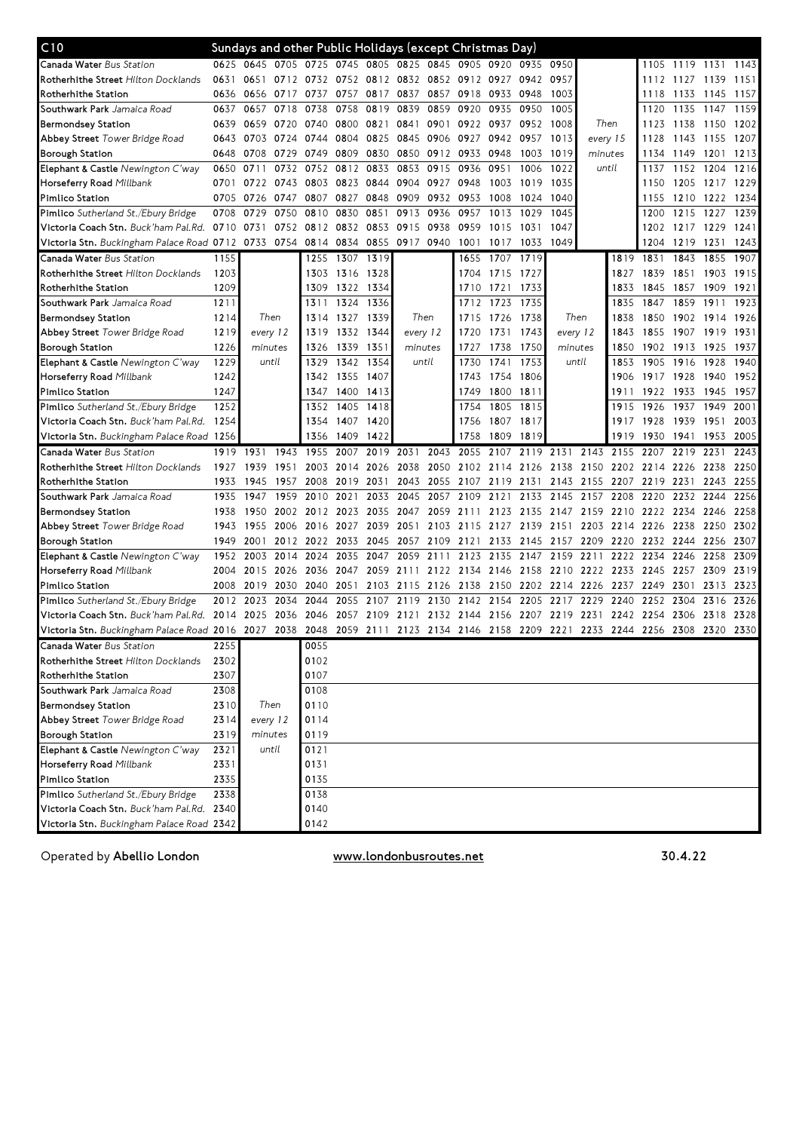| C10                                                      |      | Sundays and other Public Holidays (except Christmas Day) |           |           |                |           |                               |           |                |      |                     |                                         |                     |      |                |                     |           |      |
|----------------------------------------------------------|------|----------------------------------------------------------|-----------|-----------|----------------|-----------|-------------------------------|-----------|----------------|------|---------------------|-----------------------------------------|---------------------|------|----------------|---------------------|-----------|------|
| Canada Water Bus Station                                 | 0625 | 0645                                                     |           |           |                |           | 0705 0725 0745 0805 0825 0845 |           | 0905 0920      |      | 0935 0950           |                                         |                     |      |                | 1105 1119 1131 1143 |           |      |
| Rotherhithe Street Hilton Docklands                      | 0631 | 0651                                                     |           | 0712 0732 | 0752 0812 0832 |           |                               |           |                |      | 0852 0912 0927 0942 | 0957                                    |                     |      |                | 1112 1127           | 1139      | 1151 |
| Rotherhithe Station                                      | 0636 | 0656                                                     | 0717      | 0737      | 0757           | 0817      | 0837                          |           | 0857 0918      | 0933 | 0948                | 1003                                    |                     |      | 1118           | 1133                | 1145      | 1157 |
| Southwark Park Jamaica Road                              | 0637 | 0657                                                     | 0718      | 0738      | 0758           | 0819      | 0839                          | 0859      | 0920           | 0935 | 0950                | 1005                                    |                     |      | 1120           | 1135                | 1147      | 1159 |
| <b>Bermondsey Station</b>                                | 0639 | 0659                                                     | 0720 0740 |           |                | 0800 0821 | 0841                          |           | 0901 0922 0937 |      | 0952                | 1008                                    | Then                |      | 1123           | 1138                | 1150      | 1202 |
| Abbey Street Tower Bridge Road                           | 0643 | 0703                                                     | 0724      | 0744      | 0804           | 0825      | 0845                          | 0906 0927 |                | 0942 | 0957                | 1013                                    | every 15<br>minutes |      | 1128           | 1143                | 1155      | 1207 |
| Borough Station                                          | 0648 | 0708                                                     | 0729      | 0749      | 0809           | 0830      | 0850                          | 0912      | 0933           | 0948 | 1003                | 1019                                    |                     |      | 1134           | 1149                | 1201      | 1213 |
| Elephant & Castle Newington C'way                        | 0650 | 0711                                                     | 0732      | 0752      | 0812           | 0833      | 0853                          | 0915      | 0936           | 0951 | 1006                | 1022                                    | until               |      | 1137           | 1152                | 1204      | 1216 |
| Horseferry Road Millbank                                 | 0701 | 0722                                                     | 0743      | 0803      | 0823           | 0844      | 0904                          | 0927      | 0948           | 1003 | 1019                | 1035                                    |                     |      | 1150           | 1205                | 1217 1229 |      |
| Pimlico Station                                          | 0705 | 0726                                                     | 0747      | 0807      | 0827           | 0848      | 0909                          | 0932      | 0953           | 1008 | 1024                | 1040                                    |                     |      | 1155           | 1210                | 1222      | 1234 |
| Pimlico Sutherland St./Ebury Bridge                      | 0708 | 0729                                                     | 0750      | 0810      | 0830           | 0851      | 0913                          | 0936      | 0957           | 1013 | 1029                | 1045                                    |                     |      | 1200           | 1215                | 1227      | 1239 |
| Victoria Coach Stn. Buck'ham Pal.Rd.                     | 0710 | 0731                                                     |           | 0752 0812 | 0832           | 0853      | 0915                          | 0938      | 0959           | 1015 | 1031                | 1047                                    |                     |      |                | 1202 1217           | 1229      | 1241 |
| Victoria Stn. Buckingham Palace Road 0712                |      | 0733                                                     | 0754 0814 |           | 0834           | 0855      | 0917                          | 0940      | 1001           | 1017 | 1033                | 1049                                    |                     |      |                | 1204 1219           | 1231      | 1243 |
| Canada Water Bus Station                                 | 1155 |                                                          |           | 1255      | 1307           | 1319      |                               |           | 1655           | 1707 | 1719                |                                         |                     | 1819 | 1831           | 1843                | 1855      | 1907 |
| Rotherhithe Street Hilton Docklands                      | 1203 |                                                          |           | 1303      | 1316 1328      |           |                               |           | 1704           | 1715 | 1727                |                                         |                     | 1827 | 1839           | 1851                | 1903      | 1915 |
| Rotherhithe Station                                      | 1209 |                                                          |           | 1309      | 1322 1334      |           |                               |           | 1710           | 1721 | 1733                |                                         |                     | 1833 | 1845           | 1857                | 1909      | 1921 |
|                                                          |      |                                                          |           | 1311      |                |           |                               |           |                |      |                     |                                         |                     | 1835 | 1847           | 1859                | 1911      | 1923 |
| Southwark Park Jamaica Road                              | 1211 | Then                                                     |           |           | 1324           | 1336      |                               | Then      | 1712           | 1723 | 1735                | Then                                    |                     |      |                |                     |           |      |
| <b>Bermondsey Station</b>                                | 1214 |                                                          |           | 1314      | 1327           | 1339      |                               |           | 1715           | 1726 | 1738                |                                         |                     | 1838 | 1850           | 1902                | 1914      | 1926 |
| Abbey Street Tower Bridge Road                           | 1219 | every 12                                                 |           | 1319      | 1332           | 1344      |                               | every 12  | 1720           | 1731 | 1743                | every 12                                |                     | 1843 | 1855           | 1907                | 1919      | 1931 |
| <b>Borough Station</b>                                   | 1226 | minutes                                                  |           | 1326      | 1339           | 1351      |                               | minutes   | 1727           | 1738 | 1750                | minutes                                 |                     | 1850 | 1902           | 1913                | 1925      | 1937 |
| Elephant & Castle Newington C'way                        | 1229 | until                                                    |           | 1329      | 1342           | 1354      |                               | until     | 1730           | 1741 | 1753                | until                                   |                     | 1853 |                | 1905 1916           | 1928      | 1940 |
| Horseferry Road Millbank                                 | 1242 |                                                          |           | 1342      | 1355           | 1407      |                               |           | 1743           | 1754 | 1806                |                                         |                     | 1906 | 1917 1928      |                     | 1940      | 1952 |
| Pimlico Station                                          | 1247 |                                                          |           | 1347      | 1400           | 1413      |                               |           | 1749           | 1800 | 1811                |                                         |                     | 1911 | 1922 1933      |                     | 1945      | 1957 |
| Pimlico Sutherland St./Ebury Bridge                      | 1252 |                                                          |           | 1352      | 1405           | 1418      |                               |           | 1754           | 1805 | 1815                |                                         |                     | 1915 | 1926           | 1937                | 1949      | 2001 |
| Victoria Coach Stn. Buck'ham Pal.Rd.                     | 1254 |                                                          |           | 1354      | 1407           | 1420      |                               |           | 1756           | 1807 | 1817                |                                         |                     | 1917 | 1928           | 1939                | 1951      | 2003 |
| Victoria Stn. Buckingham Palace Road 1256                |      |                                                          |           | 1356      | 1409           | 1422      |                               |           | 1758           | 1809 | 1819                |                                         |                     | 1919 | 1930           | 1941                | 1953      | 2005 |
| Canada Water Bus Station                                 | 1919 | 1931                                                     | 1943      | 1955      | 2007           | 2019      | 2031                          | 2043      | 2055           | 2107 | 2119                | 2131                                    | 2143                | 2155 | 2207           | 2219                | 2231      | 2243 |
| Rotherhithe Street Hilton Docklands                      | 1927 | 1939                                                     | 1951      | 2003      |                | 2014 2026 | 2038                          |           |                |      |                     | 2050 2102 2114 2126 2138 2150           |                     |      | 2202 2214 2226 |                     | 2238      | 2250 |
| Rotherhithe Station                                      | 1933 | 1945                                                     | 1957      | 2008      | 2019           | 2031      | 2043                          | 2055      | 2107           | 2119 | 2131                | 2143                                    | 2155                | 2207 | 2219 2231      |                     | 2243      | 2255 |
| Southwark Park Jamaica Road                              | 1935 | 1947                                                     | 1959      | 2010      | 2021           | 2033      | 2045                          | 2057      | 2109           | 2121 | 2133                | 2145                                    | 2157                | 2208 | 2220           | 2232                | 2244      | 2256 |
| <b>Bermondsey Station</b>                                | 1938 | 1950                                                     |           | 2002 2012 | 2023           | 2035      | 2047                          | 2059      | 2111           | 2123 | 2135                | 2147                                    | 2159                | 2210 | 2222 2234      |                     | 2246      | 2258 |
| Abbey Street Tower Bridge Road                           | 1943 | 1955                                                     | 2006      | 2016      | 2027           | 2039      | 2051                          | 2103      | 2115           | 2127 | 2139                | 2151                                    | 2203                | 2214 | 2226 2238      |                     | 2250      | 2302 |
| <b>Borough Station</b>                                   | 1949 | 2001                                                     | 2012      | 2022      | 2033           | 2045      | 2057                          | 2109      | 2121           | 2133 | 2145                | 2157                                    | 2209                | 2220 | 2232 2244      |                     | 2256      | 2307 |
| Elephant & Castle Newington C'way                        | 1952 | 2003                                                     | 2014      | 2024      | 2035           | 2047      | 2059                          | 2111      | 2123           | 2135 | 2147                | 2159                                    | 2211                | 2222 | 2234           | 2246                | 2258      | 2309 |
| Horseferry Road Millbank                                 | 2004 | 2015                                                     | 2026      | 2036      | 2047           | 2059      | 2111                          |           | 2122 2134      | 2146 |                     | 2158 2210 2222                          |                     | 2233 | 2245 2257      |                     | 2309      | 2319 |
| Pimlico Station                                          | 2008 | 2019                                                     | 2030      | 2040      | 2051           | 2103      | 2115                          | 2126      | 2138           | 2150 |                     | 2202 2214 2226                          |                     | 2237 | 2249 2301      |                     | 2313      | 2323 |
| Pimlico Sutherland St./Ebury Bridge                      | 2012 | 2023                                                     | 2034      | 2044      | 2055           | 2107      | 2119                          | 2130      | 2142           | 2154 | 2205                | 2217                                    | 2229                | 2240 | 2252 2304      |                     | 2316      | 2326 |
| Victoria Coach Stn. Buck'ham Pal.Rd.                     | 2014 | 2025                                                     | 2036      | 2046      | 2057           | 2109      | 2121                          | 2132      | 2144           | 2156 | 2207                | 2219                                    | 2231                | 2242 | 2254           | 2306                | 2318      | 2328 |
| Victoria Stn. Buckingham Palace Road 2016 2027 2038 2048 |      |                                                          |           |           |                |           |                               |           |                |      |                     | 2059 2111 2123 2134 2146 2158 2209 2221 | 2233                |      | 2244 2256 2308 |                     | 2320      | 2330 |
| Canada Water Bus Station                                 | 2255 |                                                          |           | 0055      |                |           |                               |           |                |      |                     |                                         |                     |      |                |                     |           |      |
| Rotherhithe Street Hilton Docklands                      | 2302 |                                                          |           | 0102      |                |           |                               |           |                |      |                     |                                         |                     |      |                |                     |           |      |
| Rotherhithe Station                                      | 2307 |                                                          |           | 0107      |                |           |                               |           |                |      |                     |                                         |                     |      |                |                     |           |      |
| Southwark Park Jamaica Road                              | 2308 |                                                          |           | 0108      |                |           |                               |           |                |      |                     |                                         |                     |      |                |                     |           |      |
| <b>Bermondsey Station</b>                                | 2310 |                                                          | Then      | 0110      |                |           |                               |           |                |      |                     |                                         |                     |      |                |                     |           |      |
| Abbey Street Tower Bridge Road                           | 2314 | every 12                                                 |           | 0114      |                |           |                               |           |                |      |                     |                                         |                     |      |                |                     |           |      |
| <b>Borough Station</b>                                   | 2319 | minutes                                                  |           | 0119      |                |           |                               |           |                |      |                     |                                         |                     |      |                |                     |           |      |
| Elephant & Castle Newington C'way                        | 2321 |                                                          | until     | 0121      |                |           |                               |           |                |      |                     |                                         |                     |      |                |                     |           |      |
| Horseferry Road Millbank                                 | 2331 |                                                          |           | 0131      |                |           |                               |           |                |      |                     |                                         |                     |      |                |                     |           |      |
| Pimlico Station                                          | 2335 |                                                          |           | 0135      |                |           |                               |           |                |      |                     |                                         |                     |      |                |                     |           |      |
| Pimlico Sutherland St./Ebury Bridge                      | 2338 |                                                          |           | 0138      |                |           |                               |           |                |      |                     |                                         |                     |      |                |                     |           |      |
| Victoria Coach Stn. Buck'ham Pal.Rd. 2340                |      |                                                          |           | 0140      |                |           |                               |           |                |      |                     |                                         |                     |      |                |                     |           |      |
| Victoria Stn. Buckingham Palace Road 2342                |      |                                                          |           | 0142      |                |           |                               |           |                |      |                     |                                         |                     |      |                |                     |           |      |

Operated by Abellio London **WWW.londonbusroutes.net** 30.4.22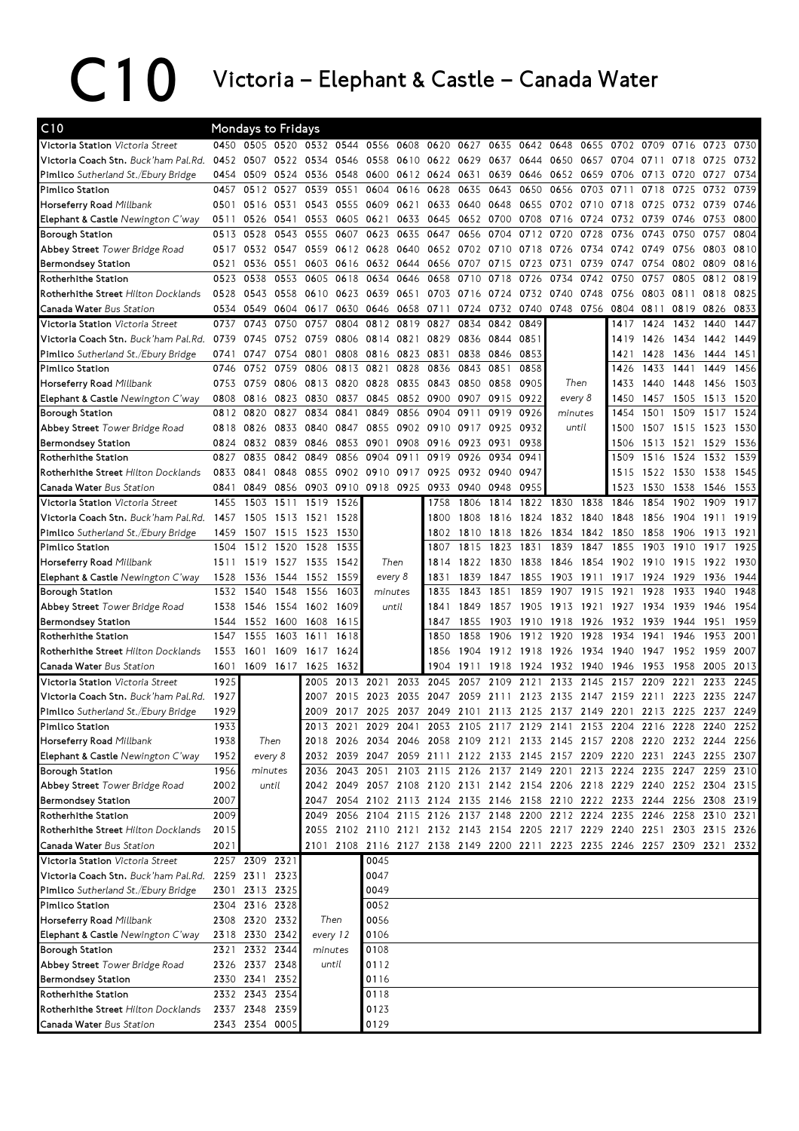## C10 Victoria – Elephant & Castle – Canada Water

| C10                                                        |      | <b>Mondays to Fridays</b> |       |                          |           |                |           |                |           |           |                |                                                                            |      |           |           |      |      |      |
|------------------------------------------------------------|------|---------------------------|-------|--------------------------|-----------|----------------|-----------|----------------|-----------|-----------|----------------|----------------------------------------------------------------------------|------|-----------|-----------|------|------|------|
| Victoria Station Victoria Street                           |      | 0450 0505 0520            |       | 0532 0544                |           | 0556           | 0608      | 0620           | 0627      | 0635      | 0642           | 0648                                                                       | 0655 | 0702      | 0709      | 0716 | 0723 | 0730 |
| Victoria Coach Stn. Buck'ham Pal.Rd.                       |      | 0452 0507                 |       | 0522 0534 0546           |           | 0558           |           | 0610 0622 0629 |           |           | 0637 0644 0650 |                                                                            | 0657 | 0704 0711 |           | 0718 | 0725 | 0732 |
| Pimlico Sutherland St./Ebury Bridge                        | 0454 | 0509                      | 0524  | 0536                     | 0548      | 0600           |           | 0612 0624 0631 |           | 0639      | 0646           | 0652                                                                       | 0659 | 0706      | 0713      | 0720 | 0727 | 0734 |
| Pimlico Station                                            | 0457 | 0512                      | 0527  | 0539                     | 0551      | 0604           | 0616      | 0628           | 0635      | 0643      | 0650           | 0656                                                                       | 0703 | 0711      | 0718      | 0725 | 0732 | 0739 |
| Horseferry Road Millbank                                   | 0501 | 0516                      | 0531  | 0543                     | 0555      | 0609           | 0621      |                | 0633 0640 | 0648      | 0655           | 0702                                                                       | 0710 | 0718      | 0725      | 0732 | 0739 | 0746 |
| Elephant & Castle Newington C'way                          | 0511 | 0526                      | 0541  | 0553                     | 0605      | 0621           | 0633      |                | 0645 0652 | 0700      | 0708           | 0716                                                                       | 0724 | 0732      | 0739      | 0746 | 0753 | 0800 |
| Borough Station                                            | 0513 | 0528                      | 0543  | 0555                     | 0607      | 0623           | 0635      | 0647           | 0656      | 0704      | 0712           | 0720                                                                       | 0728 | 0736      | 0743      | 0750 | 0757 | 0804 |
| Abbey Street Tower Bridge Road                             | 0517 | 0532                      | 0547  | 0559                     | 0612 0628 |                | 0640      |                | 0652 0702 | 0710      | 0718           | 0726                                                                       | 0734 | 0742      | 0749      | 0756 | 0803 | 0810 |
| <b>Bermondsey Station</b>                                  | 0521 | 0536 0551                 |       | 0603                     |           | 0616 0632 0644 |           | 0656 0707      |           | 0715      | 0723           | 0731                                                                       | 0739 | 0747      | 0754      | 0802 | 0809 | 0816 |
| Rotherhithe Station                                        | 0523 | 0538                      | 0553  | 0605                     | 0618      | 0634           | 0646      | 0658           | 0710      | 0718      | 0726           | 0734                                                                       | 0742 | 0750      | 0757      | 0805 | 0812 | 0819 |
| Rotherhithe Street Hilton Docklands                        | 0528 | 0543                      | 0558  | 0610                     | 0623      | 0639           | 0651      |                | 0703 0716 | 0724      | 0732           | 0740                                                                       | 0748 | 0756      | 0803      | 0811 | 0818 | 0825 |
| Canada Water Bus Station                                   | 0534 | 0549                      | 0604  | 0617                     | 0630      | 0646           | 0658      | 0711           | 0724      | 0732 0740 |                | 0748                                                                       | 0756 | 0804 0811 |           | 0819 | 0826 | 0833 |
| Victoria Station Victoria Street                           | 0737 | 0743                      | 0750  | 0757                     | 0804      |                | 0812 0819 | 0827           | 0834      | 0842      | 0849           |                                                                            |      | 1417      | 1424      | 1432 | 1440 | 1447 |
| Victoria Coach Stn. Buck'ham Pal.Rd.                       | 0739 | 0745                      | 0752  | 0759                     | 0806      | 0814           | 0821      | 0829           | 0836      | 0844      | 0851           |                                                                            |      | 1419      | 1426      | 1434 | 1442 | 1449 |
| Pimlico Sutherland St./Ebury Bridge                        | 0741 | 0747                      | 0754  | 0801                     | 0808      | 0816           | 0823      | 0831           | 0838      | 0846      | 0853           |                                                                            |      | 1421      | 1428      | 1436 | 1444 | 1451 |
| Pimlico Station                                            | 0746 | 0752                      | 0759  | 0806                     |           | 0813 0821      | 0828      | 0836           | 0843      | 0851      | 0858           |                                                                            |      | 1426      | 1433      | 1441 | 1449 | 1456 |
| Horseferry Road Millbank                                   | 0753 | 0759                      | 0806  | 0813                     | 0820      | 0828           | 0835      | 0843 0850      |           | 0858      | 0905           | Then                                                                       |      | 1433      | 1440      | 1448 | 1456 | 1503 |
| Elephant & Castle Newington C'way                          | 0808 | 0816                      | 0823  | 0830                     | 0837      | 0845           | 0852      | 0900           | 0907      | 0915      | 0922           | every 8                                                                    |      | 1450      | 1457      | 1505 | 1513 | 1520 |
|                                                            |      |                           | 0827  | 0834                     | 0841      | 0849           |           | 0904 0911      |           |           | 0926           | minutes                                                                    |      | 1454      | 1501      | 1509 |      | 1524 |
| <b>Borough Station</b>                                     |      | 0812 0820                 |       |                          |           |                | 0856      |                |           | 0919      |                |                                                                            |      |           |           |      | 1517 |      |
| Abbey Street Tower Bridge Road                             | 0818 | 0826                      | 0833  | 0840                     | 0847      | 0855           | 0902      | 0910 0917      |           | 0925      | 0932           | until                                                                      |      | 1500      | 1507      | 1515 | 1523 | 1530 |
| Bermondsey Station                                         | 0824 | 0832                      | 0839  | 0846                     | 0853      | 0901           | 0908      | 0916 0923      |           | 0931      | 0938           |                                                                            |      | 1506      | 1513      | 1521 | 1529 | 1536 |
| Rotherhithe Station                                        | 0827 | 0835                      | 0842  | 0849                     | 0856      | 0904           | 0911      | 0919           | 0926      | 0934      | 0941           |                                                                            |      | 1509      | 1516      | 1524 | 1532 | 1539 |
| Rotherhithe Street Hilton Docklands                        | 0833 | 0841                      | 0848  | 0855                     |           | 0902 0910      | 0917      |                | 0925 0932 | 0940      | 0947           |                                                                            |      | 1515      | 1522 1530 |      | 1538 | 1545 |
| Canada Water Bus Station                                   | 0841 | 0849                      | 0856  | 0903 0910 0918 0925 0933 |           |                |           |                | 0940      | 0948      | 0955           |                                                                            |      | 1523      | 1530      | 1538 | 1546 | 1553 |
| Victoria Station Victoria Street                           | 1455 | 1503                      | 1511  | 1519                     | 1526      |                |           | 1758           | 1806      | 1814      | 1822           | 1830                                                                       | 1838 | 1846      | 1854      | 1902 | 1909 | 1917 |
| Victoria Coach Stn. Buck'ham Pal.Rd.                       | 1457 | 1505                      | 1513  | 1521                     | 1528      |                |           | 1800           | 1808      | 1816      | 1824           | 1832 1840                                                                  |      | 1848      | 1856      | 1904 | 1911 | 1919 |
| Pimlico Sutherland St./Ebury Bridge                        | 1459 | 1507                      | 1515  | 1523                     | 1530      |                |           | 1802           | 1810      | 1818      | 1826           | 1834                                                                       | 1842 | 1850      | 1858      | 1906 | 1913 | 1921 |
| Pimlico Station                                            | 1504 | 1512                      | 1520  | 1528                     | 1535      |                |           | 1807           | 1815      | 1823      | 1831           | 1839                                                                       | 1847 | 1855      | 1903      | 1910 | 1917 | 1925 |
| Horseferry Road Millbank                                   | 1511 | 1519 1527                 |       | 1535                     | 1542      |                | Then      | 1814           | 1822      | 1830      | 1838           | 1846                                                                       | 1854 |           | 1902 1910 | 1915 | 1922 | 1930 |
| Elephant & Castle Newington C'way                          | 1528 | 1536                      | 1544  | 1552                     | 1559      | every 8        |           | 1831           | 1839      | 1847      | 1855           | 1903                                                                       | 1911 | 1917      | 1924      | 1929 | 1936 | 1944 |
| <b>Borough Station</b>                                     | 1532 | 1540                      | 1548  | 1556                     | 1603      | minutes        |           | 1835           | 1843      | 1851      | 1859           | 1907                                                                       | 1915 | 1921      | 1928      | 1933 | 1940 | 1948 |
| Abbey Street Tower Bridge Road                             | 1538 | 1546                      | 1554  | 1602                     | 1609      |                | until     | 1841           | 1849      | 1857      | 1905           | 1913                                                                       | 1921 | 1927      | 1934      | 1939 | 1946 | 1954 |
| Bermondsey Station                                         | 1544 | 1552                      | 1600  | 1608                     | 1615      |                |           | 1847           | 1855      | 1903      | 1910           | 1918                                                                       | 1926 | 1932      | 1939      | 1944 | 1951 | 1959 |
| Rotherhithe Station                                        | 1547 | 1555                      | 1603  | 1611                     | 1618      |                |           | 1850           | 1858      | 1906      | 1912           | 1920                                                                       | 1928 | 1934      | 1941      | 1946 | 1953 | 2001 |
| Rotherhithe Street Hilton Docklands                        | 1553 | 1601                      | 1609  | 1617                     | 1624      |                |           | 1856           | 1904      | 1912 1918 |                | 1926                                                                       | 1934 | 1940      | 1947      | 1952 | 1959 | 2007 |
| Canada Water Bus Station                                   | 1601 | 1609 1617                 |       | 1625                     | 1632      |                |           | 1904           | 1911      | 1918      | 1924           | 1932                                                                       | 1940 | 1946      | 1953      | 1958 | 2005 | 2013 |
| Victoria Station Victoria Street                           | 1925 |                           |       | 2005                     | 2013      | 2021           | 2033      | 2045           | 2057      | 2109      | 2121           | 2133                                                                       | 2145 | 2157      | 2209      | 2221 | 2233 | 2245 |
| <b>Victoria Coach Stn.</b> Buck'ham Pal.Rd.                | 1927 |                           |       | 2007                     | 2015      | 2023           | 2035      | 2047           | 2059      | 2111      | 2123           | 2135                                                                       | 2147 | 2159      | 2211      | 2223 | 2235 | 2247 |
| Pimlico Sutherland St./Ebury Bridge                        | 1929 |                           |       |                          |           | 2009 2017 2025 | 2037      |                | 2049 2101 |           |                | 2113 2125 2137 2149 2201 2213 2225                                         |      |           |           |      | 2237 | 2249 |
| <b>Pimlico Station</b>                                     | 1933 |                           |       |                          |           |                |           |                |           |           |                | 2013 2021 2029 2041 2053 2105 2117 2129 2141 2153 2204 2216 2228 2240      |      |           |           |      |      | 2252 |
| Horseferry Road Millbank                                   | 1938 | Then                      |       |                          |           |                |           |                |           |           |                | 2018 2026 2034 2046 2058 2109 2121 2133 2145 2157 2208 2220 2232 2244 2256 |      |           |           |      |      |      |
| Elephant & Castle Newington C'way                          | 1952 | every 8                   |       |                          |           |                |           |                |           |           |                | 2032 2039 2047 2059 2111 2122 2133 2145 2157 2209 2220 2231 2243 2255 2307 |      |           |           |      |      |      |
| Borough Station                                            | 1956 | minutes                   |       | 2036                     |           |                |           |                |           |           |                | 2043 2051 2103 2115 2126 2137 2149 2201 2213 2224 2235 2247 2259 2310      |      |           |           |      |      |      |
| Abbey Street Tower Bridge Road                             | 2002 |                           | until |                          |           |                |           |                |           |           |                | 2042 2049 2057 2108 2120 2131 2142 2154 2206 2218 2229 2240 2252 2304 2315 |      |           |           |      |      |      |
| <b>Bermondsey Station</b>                                  | 2007 |                           |       | 2047                     |           |                |           |                |           |           |                | 2054 2102 2113 2124 2135 2146 2158 2210 2222 2233 2244 2256 2308 2319      |      |           |           |      |      |      |
|                                                            | 2009 |                           |       |                          |           |                |           |                |           |           |                | 2049 2056 2104 2115 2126 2137 2148 2200 2212 2224 2235 2246 2258 2310 2321 |      |           |           |      |      |      |
| Rotherhithe Station<br>Rotherhithe Street Hilton Docklands |      |                           |       |                          |           |                |           |                |           |           |                |                                                                            |      |           |           |      |      |      |
|                                                            | 2015 |                           |       |                          |           |                |           |                |           |           |                | 2055 2102 2110 2121 2132 2143 2154 2205 2217 2229 2240 2251 2303 2315 2326 |      |           |           |      |      |      |
| Canada Water Bus Station                                   | 2021 |                           |       | 2101                     |           |                |           |                |           |           |                | 2108 2116 2127 2138 2149 2200 2211 2223 2235 2246 2257 2309 2321           |      |           |           |      |      | 2332 |
| Victoria Station Victoria Street                           |      | 2257 2309 2321            |       |                          |           | 0045           |           |                |           |           |                |                                                                            |      |           |           |      |      |      |
| Victoria Coach Stn. Buck'ham Pal.Rd. 2259 2311 2323        |      |                           |       |                          |           | 0047           |           |                |           |           |                |                                                                            |      |           |           |      |      |      |
| Pimlico Sutherland St./Ebury Bridge                        |      | 2301 2313 2325            |       |                          |           | 0049           |           |                |           |           |                |                                                                            |      |           |           |      |      |      |
| Pimlico Station                                            |      | 2304 2316 2328            |       |                          |           | 0052           |           |                |           |           |                |                                                                            |      |           |           |      |      |      |
| Horseferry Road Millbank                                   |      | 2308 2320 2332            |       | Then                     |           | 0056           |           |                |           |           |                |                                                                            |      |           |           |      |      |      |
| Elephant & Castle Newington C'way                          |      | 2318 2330 2342            |       | every 12                 |           | 0106           |           |                |           |           |                |                                                                            |      |           |           |      |      |      |
| Borough Station                                            | 2321 | 2332 2344                 |       | minutes                  |           | 0108           |           |                |           |           |                |                                                                            |      |           |           |      |      |      |
| Abbey Street Tower Bridge Road                             |      | 2326 2337 2348            |       | until                    |           | 0112           |           |                |           |           |                |                                                                            |      |           |           |      |      |      |
| Bermondsey Station                                         |      | 2330 2341 2352            |       |                          |           | 0116           |           |                |           |           |                |                                                                            |      |           |           |      |      |      |
| Rotherhithe Station                                        |      | 2332 2343 2354            |       |                          |           | 0118           |           |                |           |           |                |                                                                            |      |           |           |      |      |      |
| Rotherhithe Street Hilton Docklands                        |      | 2337 2348 2359            |       |                          |           | 0123           |           |                |           |           |                |                                                                            |      |           |           |      |      |      |
| Canada Water Bus Station                                   |      | 2343 2354 0005            |       |                          |           | 0129           |           |                |           |           |                |                                                                            |      |           |           |      |      |      |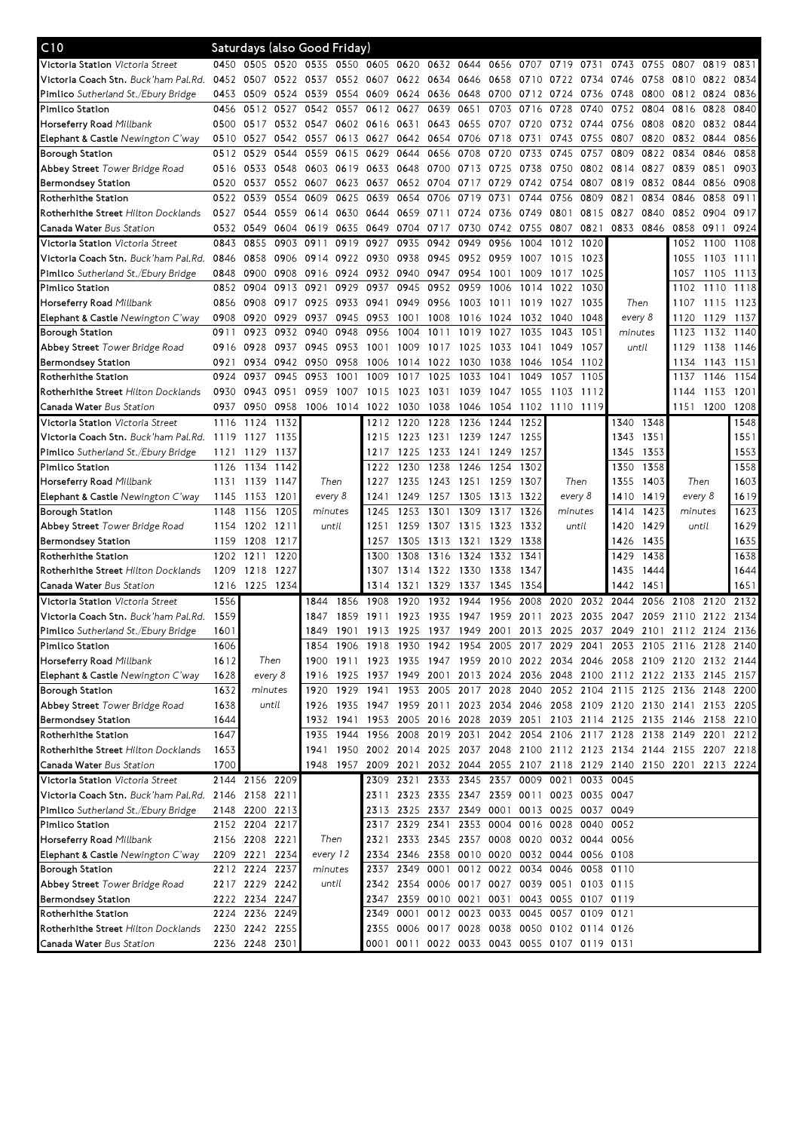| C10                                            |      | Saturdays (also Good Friday) |           |           |           |                |                     |           |           |           |      |                                              |      |      |               |                                                                            |      |           |
|------------------------------------------------|------|------------------------------|-----------|-----------|-----------|----------------|---------------------|-----------|-----------|-----------|------|----------------------------------------------|------|------|---------------|----------------------------------------------------------------------------|------|-----------|
| <b>Victoria Station</b> <i>Victoria Street</i> | 0450 | 0505 0520 0535 0550          |           |           |           |                | 0605 0620 0632 0644 |           |           | 0656      | 0707 | 0719                                         | 0731 | 0743 | 0755          | 0807                                                                       | 0819 | 0831      |
| <b>Victoria Coach Stn.</b> Buck'ham Pal.Rd.    | 0452 | 0507                         | 0522 0537 |           |           | 0552 0607 0622 |                     | 0634 0646 |           | 0658      | 0710 | 0722                                         | 0734 | 0746 | 0758          | 0810                                                                       | 0822 | 0834      |
| <b>Pimlico</b> Sutherland St./Ebury Bridge     | 0453 | 0509                         | 0524 0539 |           | 0554      | 0609           | 0624                | 0636 0648 |           | 0700      | 0712 | 0724                                         | 0736 | 0748 | 0800          | 0812 0824                                                                  |      | 0836      |
| Pimlico Station                                | 0456 | 0512                         | 0527      | 0542      | 0557      | 0612           | 0627                | 0639      | 0651      | 0703      | 0716 | 0728                                         | 0740 | 0752 | 0804          | 0816                                                                       | 0828 | 0840      |
| Horseferry Road <i>Millbank</i>                | 0500 | 0517                         |           | 0532 0547 |           | 0602 0616      | 0631                | 0643 0655 |           | 0707      | 0720 | 0732                                         | 0744 | 0756 | 0808          | 0820                                                                       | 0832 | 0844      |
| Elephant & Castle Newington C'way              | 0510 | 0527                         | 0542 0557 |           |           | 0613 0627      | 0642                | 0654 0706 |           | 0718      | 0731 | 0743                                         | 0755 | 0807 | 0820          | 0832                                                                       | 0844 | 0856      |
| Borough Station                                | 0512 | 0529                         | 0544      | 0559      | 0615      | 0629           | 0644                | 0656      | 0708      | 0720      | 0733 | 0745                                         | 0757 | 0809 | 0822          | 0834                                                                       | 0846 | 0858      |
| Abbey Street Tower Bridge Road                 | 0516 | 0533                         | 0548      | 0603      | 0619      | 0633           | 0648                | 0700      | 0713      | 0725      | 0738 | 0750                                         | 0802 | 0814 | 0827          | 0839                                                                       | 0851 | 0903      |
| <b>Bermondsey Station</b>                      | 0520 | 0537                         | 0552 0607 |           | 0623 0637 |                | 0652                | 0704 0717 |           | 0729      | 0742 | 0754                                         | 0807 | 0819 | 0832          | 0844                                                                       | 0856 | 0908      |
| Rotherhithe Station                            | 0522 | 0539                         | 0554      | 0609      | 0625      | 0639           | 0654                | 0706      | 0719      | 0731      | 0744 | 0756                                         | 0809 | 0821 | 0834          | 0846                                                                       | 0858 | 0911      |
| <b>Rotherhithe Street</b> Hilton Docklands     | 0527 | 0544                         |           | 0559 0614 | 0630      | 0644           | 0659                | 0711      | 0724      | 0736      | 0749 | 0801                                         | 0815 | 0827 | 0840          | 0852                                                                       | 0904 | 0917      |
| <b>Canada Water</b> Bus Station                | 0532 | 0549                         |           | 0604 0619 | 0635      | 0649           | 0704                | 0717      | 0730      | 0742      | 0755 | 0807                                         | 0821 | 0833 | 0846          | 0858                                                                       | 0911 | 0924      |
| Victoria Station Victoria Street               | 0843 | 0855                         | 0903      | 0911      | 0919      | 0927           | 0935                | 0942      | 0949      | 0956      | 1004 | 1012                                         | 1020 |      |               | 1052                                                                       | 1100 | 1108      |
| <b>Victoria Coach Stn.</b> Buck'ham Pal.Rd.    | 0846 | 0858                         |           | 0906 0914 |           | 0922 0930      | 0938                | 0945      | 0952      | 0959      | 1007 | 1015                                         | 1023 |      |               | 1055                                                                       |      | 1103 1111 |
| <b>Pimlico</b> Sutherland St./Ebury Bridge     | 0848 | 0900                         | 0908      | 0916      | 0924      | 0932 0940      |                     | 0947      | 0954      | 1001      | 1009 | 1017                                         | 1025 |      |               | 1057                                                                       |      | 1105 1113 |
| Pimlico Station                                | 0852 | 0904                         | 0913      | 0921      | 0929      | 0937           | 0945                | 0952      | 0959      | 1006      | 1014 | 1022                                         | 1030 |      |               | 1102                                                                       | 1110 | 1118      |
| Horseferry Road <i>Millbank</i>                | 0856 | 0908                         | 0917      | 0925      | 0933      | 0941           | 0949                | 0956      | 1003      | 1011      | 1019 | 1027                                         | 1035 |      | Then          | 1107                                                                       | 1115 | 1123      |
| Elephant & Castle Newington C'way              | 0908 | 0920                         | 0929      | 0937      | 0945      | 0953           | 1001                | 1008      | 1016      | 1024      | 1032 | 1040                                         | 1048 |      | every 8       | 1120                                                                       | 1129 | 1137      |
| Borough Station                                | 0911 | 0923                         | 0932      | 0940      | 0948      | 0956           | 1004                | 1011      | 1019      | 1027      | 1035 | 1043                                         | 1051 |      | minutes       | 1123                                                                       | 1132 | 1140      |
| <b>Abbey Street</b> Tower Bridge Road          | 0916 | 0928                         | 0937      | 0945      | 0953      | 1001           | 1009                | 1017      | 1025      | 1033      | 1041 | 1049                                         | 1057 |      | until         | 1129                                                                       | 1138 | 1146      |
| Bermondsey Station                             | 0921 | 0934                         | 0942      | 0950      | 0958      | 1006           | 1014                | 1022      | 1030      | 1038      | 1046 | 1054                                         | 1102 |      |               | 1134                                                                       | 1143 | 1151      |
| Rotherhithe Station                            | 0924 | 0937                         | 0945      | 0953      | 1001      | 1009           | 1017                | 1025      | 1033      | 1041      | 1049 | 1057                                         | 1105 |      |               | 1137                                                                       | 1146 | 1154      |
| Rotherhithe Street Hilton Docklands            | 0930 | 0943                         | 0951      | 0959      | 1007      | 1015           | 1023                | 1031      | 1039      | 1047      | 1055 | 1103                                         | 1112 |      |               | 1144                                                                       | 1153 | 1201      |
| Canada Water Bus Station                       | 0937 | 0950                         | 0958      | 1006      | 1014      | 1022           | 1030                | 1038      | 1046      | 1054      | 1102 | 1110 1119                                    |      |      |               | 1151                                                                       | 1200 | 1208      |
| Victoria Station Victoria Street               | 1116 | 1124                         | 1132      |           |           | 1212           | 1220                | 1228      | 1236      | 1244      | 1252 |                                              |      | 1340 | 1348          |                                                                            |      | 1548      |
| <b>Victoria Coach Stn.</b> Buck'ham Pal.Rd.    | 1119 | 1127                         | 1135      |           |           | 1215           | 1223                | 1231 1239 |           | 1247 1255 |      |                                              |      | 1343 | 1351          |                                                                            |      | 1551      |
| <b>Pimlico</b> Sutherland St./Ebury Bridge     | 1121 | 1129                         | 1137      |           |           | 1217           | 1225                | 1233      | 1241      | 1249      | 1257 |                                              |      | 1345 | 1353          |                                                                            |      | 1553      |
| Pimlico Station                                | 1126 | 1134                         | 1142      |           |           | 1222           | 1230                | 1238      | 1246      | 1254      | 1302 |                                              |      | 1350 | 1358          |                                                                            |      | 1558      |
| Horseferry Road Millbank                       | 1131 | 1139                         | 1147      | Then      |           | 1227           | 1235                | 1243 1251 |           | 1259      | 1307 | Then                                         |      | 1355 | 1403          | Then                                                                       |      | 1603      |
| Elephant & Castle Newington C'way              | 1145 | 1153                         | 1201      | every 8   |           | 1241           | 1249                | 1257      | 1305      | 1313      | 1322 | every 8                                      |      | 1410 | 1419          | every 8                                                                    |      | 1619      |
| Borough Station                                | 1148 | 1156                         | 1205      | minutes   |           | 1245           | 1253                | 1301      | 1309      | 1317      | 1326 | minutes                                      |      | 1414 | 1423          | minutes                                                                    |      | 1623      |
| Abbey Street Tower Bridge Road                 | 1154 | 1202 1211                    |           | until     |           | 1251           | 1259                |           | 1307 1315 | 1323      | 1332 | until                                        |      | 1420 | 1429          | until                                                                      |      | 1629      |
| Bermondsey Station                             | 1159 | 1208                         | 1217      |           |           | 1257           | 1305                | 1313 1321 |           | 1329      | 1338 |                                              |      | 1426 | 1435          |                                                                            |      | 1635      |
| Rotherhithe Station                            | 1202 | 1211                         | 1220      |           |           | 1300           | 1308                | 1316 1324 |           | 1332      | 1341 |                                              |      | 1429 | 1438          |                                                                            |      | 1638      |
| Rotherhithe Street Hilton Docklands            | 1209 | 1218                         | 1227      |           |           | 1307           | 1314                | 1322 1330 |           | 1338      | 1347 |                                              |      | 1435 | 1444          |                                                                            |      | 1644      |
| Canada Water Bus Station                       | 1216 | 1225                         | 1234      |           |           | 1314           | 1321                | 1329      | 1337      | 1345      | 1354 |                                              |      | 1442 | $145^{\circ}$ |                                                                            |      | 1651      |
| Victoria Station Victoria Street               | 1556 |                              |           | 1844      | 1856      | 1908           | 1920                | 1932      | 1944      | 1956      | 2008 | 2020                                         | 2032 | 2044 | 2056          | 2108                                                                       | 2120 | 2132      |
| <b>Victoria Coach Stn.</b> Buck'ham Pal.Rd.    | 1559 |                              |           | 1847      | 1859      | 19             | 1923                | 1935      | 1947      | 1959      | 2011 | 2023                                         | 2035 | 2047 | 2059          | 2110                                                                       | 2122 | 2134      |
| Pimlico Sutherland St./Ebury Bridge            | 1601 |                              |           | 1849      | 1901      | 1913 1925      |                     | 1937 1949 |           |           |      | 2001 2013 2025 2037 2049                     |      |      |               | 2101 2112 2124 2136                                                        |      |           |
| Pimlico Station                                | 1606 |                              |           |           |           |                |                     |           |           |           |      |                                              |      |      |               | 1854 1906 1918 1930 1942 1954 2005 2017 2029 2041 2053 2105 2116 2128 2140 |      |           |
| Horseferry Road Millbank                       | 1612 | Then                         |           |           |           |                |                     |           |           |           |      |                                              |      |      |               | 1900 1911 1923 1935 1947 1959 2010 2022 2034 2046 2058 2109 2120 2132 2144 |      |           |
| Elephant & Castle Newington C'way              | 1628 | every 8                      |           | 1916      |           |                |                     |           |           |           |      |                                              |      |      |               | 1925 1937 1949 2001 2013 2024 2036 2048 2100 2112 2122 2133 2145 2157      |      |           |
| Borough Station                                | 1632 | minutes                      |           | 1920      |           |                |                     |           |           |           |      |                                              |      |      |               | 1929 1941 1953 2005 2017 2028 2040 2052 2104 2115 2125 2136 2148           |      | 2200      |
| Abbey Street Tower Bridge Road                 | 1638 | until                        |           | 1926      |           |                |                     |           |           |           |      |                                              |      |      |               | 1935 1947 1959 2011 2023 2034 2046 2058 2109 2120 2130 2141 2153 2205      |      |           |
| Bermondsey Station                             | 1644 |                              |           | 1932      | 1941      |                |                     |           |           |           |      |                                              |      |      |               | 1953 2005 2016 2028 2039 2051 2103 2114 2125 2135 2146 2158 2210           |      |           |
| Rotherhithe Station                            | 1647 |                              |           | 1935      | 1944      | 1956 2008      |                     |           |           |           |      |                                              |      |      |               | 2019 2031 2042 2054 2106 2117 2128 2138 2149 2201                          |      | 2212      |
| Rotherhithe Street Hilton Docklands            | 1653 |                              |           | 1941      |           |                |                     |           |           |           |      |                                              |      |      |               | 1950 2002 2014 2025 2037 2048 2100 2112 2123 2134 2144 2155 2207 2218      |      |           |
| <b>Canada Water</b> Bus Station                | 1700 |                              |           |           |           |                |                     |           |           |           |      |                                              |      |      |               | 1948 1957 2009 2021 2032 2044 2055 2107 2118 2129 2140 2150 2201 2213 2224 |      |           |
| Victoria Station Victoria Street               |      | 2144 2156 2209               |           |           |           |                |                     |           |           |           |      | 2309 2321 2333 2345 2357 0009 0021 0033 0045 |      |      |               |                                                                            |      |           |
| Victoria Coach Stn. Buck'ham Pal.Rd.           |      | 2146 2158 2211               |           |           |           | 2311           |                     |           |           |           |      | 2323 2335 2347 2359 0011 0023 0035 0047      |      |      |               |                                                                            |      |           |
| <b>Pimlico</b> Sutherland St./Ebury Bridge     |      | 2148 2200 2213               |           |           |           | 2313           | 2325                |           |           |           |      | 2337 2349 0001 0013 0025 0037 0049           |      |      |               |                                                                            |      |           |
| Pimlico Station                                |      | 2152 2204                    | 2217      |           |           | 2317           | 2329                | 2341      |           | 2353 0004 |      | 0016 0028 0040                               |      | 0052 |               |                                                                            |      |           |
| Horseferry Road <i>Millbank</i>                |      | 2156 2208 2221               |           | Then      |           | 2321           |                     |           |           |           |      | 2333 2345 2357 0008 0020 0032 0044 0056      |      |      |               |                                                                            |      |           |
| <b>Elephant &amp; Castle</b> Newington C'way   |      | 2209 2221 2234               |           | every 12  |           |                |                     |           |           |           |      | 2334 2346 2358 0010 0020 0032 0044 0056 0108 |      |      |               |                                                                            |      |           |
| Borough Station                                |      | 2212 2224 2237               |           | minutes   |           |                |                     |           |           |           |      | 2337 2349 0001 0012 0022 0034 0046 0058 0110 |      |      |               |                                                                            |      |           |
| Abbey Street Tower Bridge Road                 |      | 2217 2229 2242               |           | until     |           |                |                     |           |           |           |      | 2342 2354 0006 0017 0027 0039 0051 0103 0115 |      |      |               |                                                                            |      |           |
| Bermondsey Station                             |      | 2222 2234 2247               |           |           |           | 2347           |                     |           |           |           |      | 2359 0010 0021 0031 0043 0055 0107 0119      |      |      |               |                                                                            |      |           |
|                                                |      | 2224 2236 2249               |           |           |           | 2349           | 0001                |           |           |           |      | 0012 0023 0033 0045 0057 0109 0121           |      |      |               |                                                                            |      |           |
| Rotherhithe Station                            |      | 2230 2242 2255               |           |           |           |                |                     |           |           |           |      | 2355 0006 0017 0028 0038 0050 0102 0114 0126 |      |      |               |                                                                            |      |           |
| <b>Rotherhithe Street</b> Hilton Docklands     |      |                              |           |           |           |                |                     |           |           |           |      |                                              |      |      |               |                                                                            |      |           |
| <b>Canada Water</b> Bus Station                |      | 2236 2248 2301               |           |           |           |                |                     |           |           |           |      | 0001 0011 0022 0033 0043 0055 0107 0119 0131 |      |      |               |                                                                            |      |           |